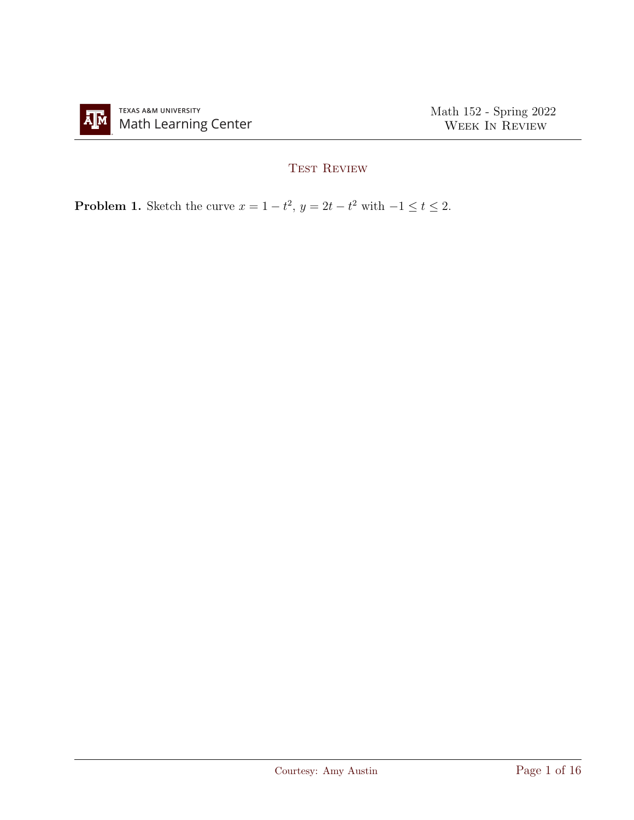

## TEST REVIEW

**Problem 1.** Sketch the curve  $x = 1 - t^2$ ,  $y = 2t - t^2$  with  $-1 \le t \le 2$ .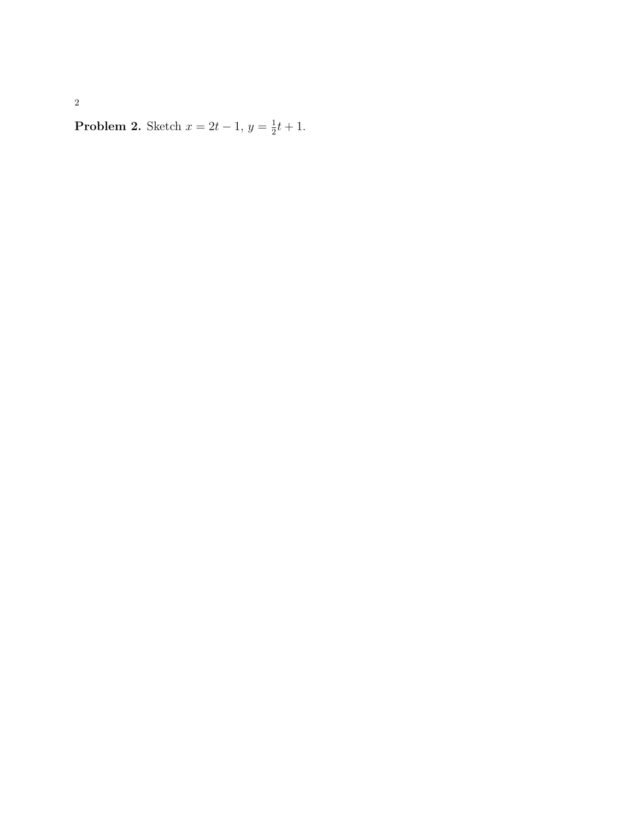**Problem 2.** Sketch  $x = 2t - 1$ ,  $y = \frac{1}{2}$  $\frac{1}{2}t+1$ .

2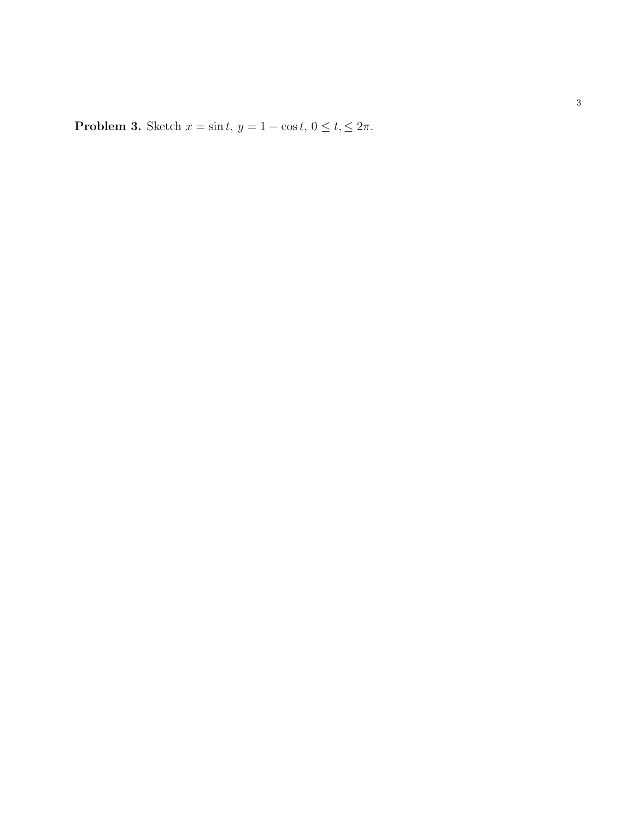Problem 3. Sketch  $x = \sin t$ ,  $y = 1 - \cos t$ ,  $0 \le t \le 2\pi$ .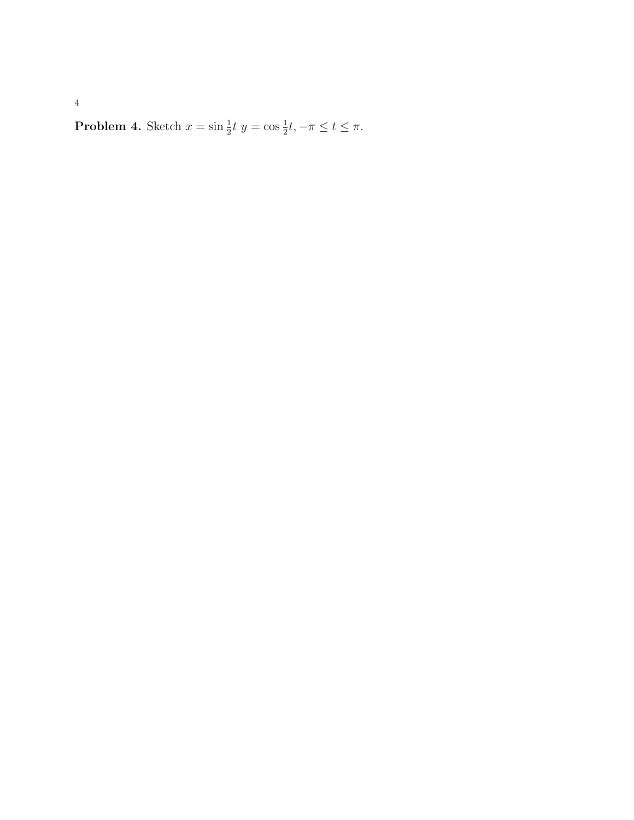**Problem 4.** Sketch  $x = \sin \frac{1}{2}t$   $y = \cos \frac{1}{2}t, -\pi \le t \le \pi$ .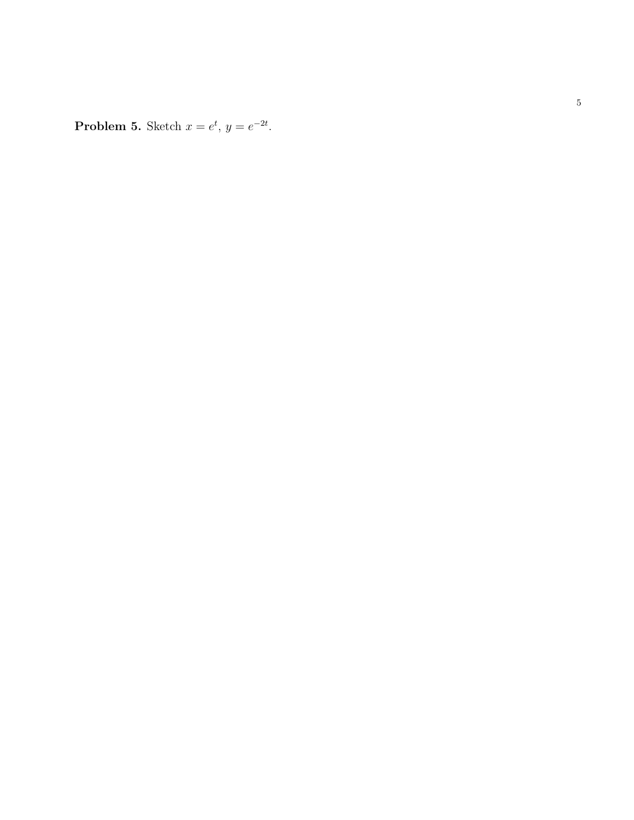**Problem 5.** Sketch  $x = e^t$ ,  $y = e^{-2t}$ .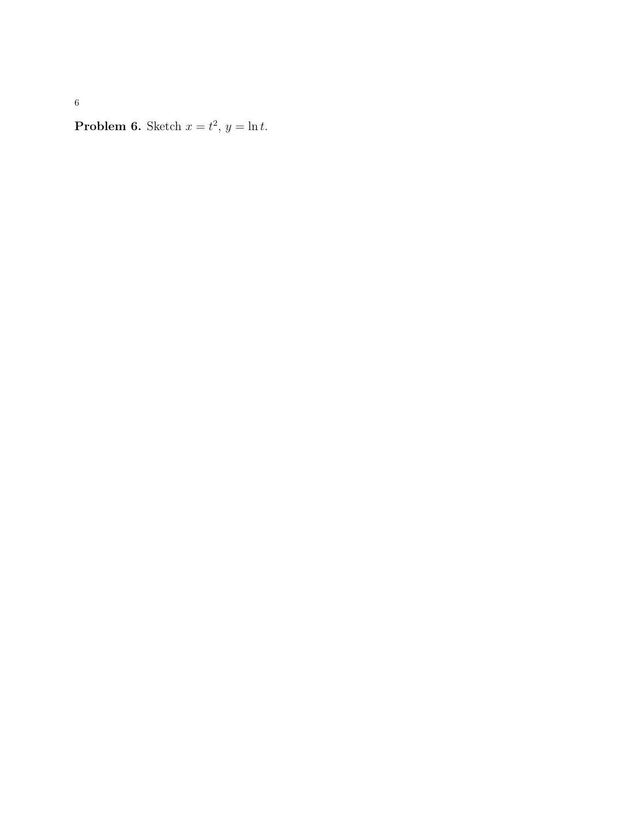6

**Problem 6.** Sketch  $x = t^2$ ,  $y = \ln t$ .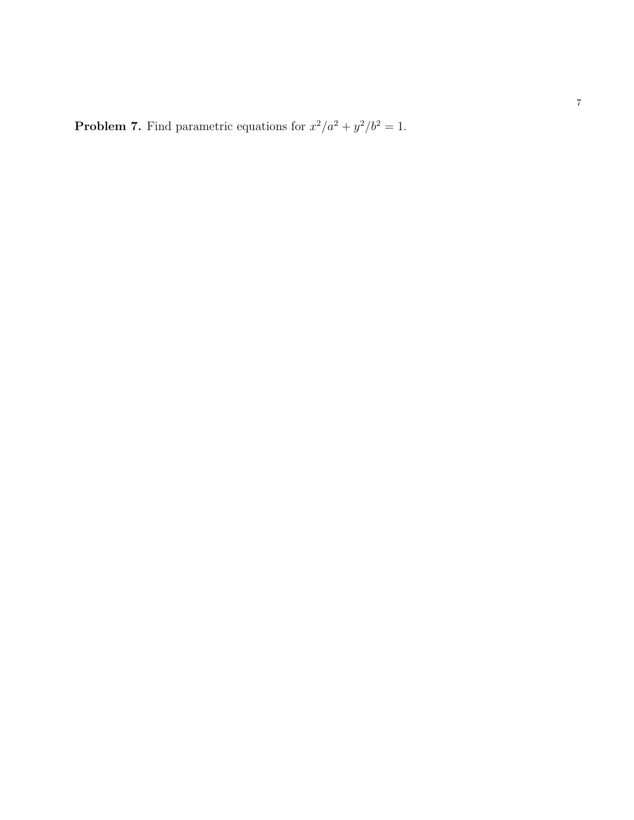**Problem 7.** Find parametric equations for  $x^2/a^2 + y^2/b^2 = 1$ .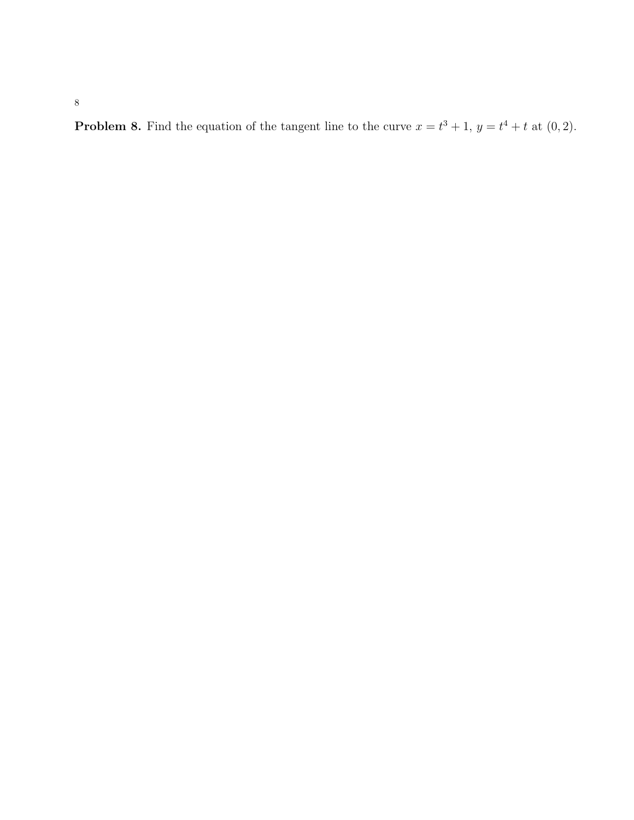**Problem 8.** Find the equation of the tangent line to the curve  $x = t^3 + 1$ ,  $y = t^4 + t$  at  $(0, 2)$ .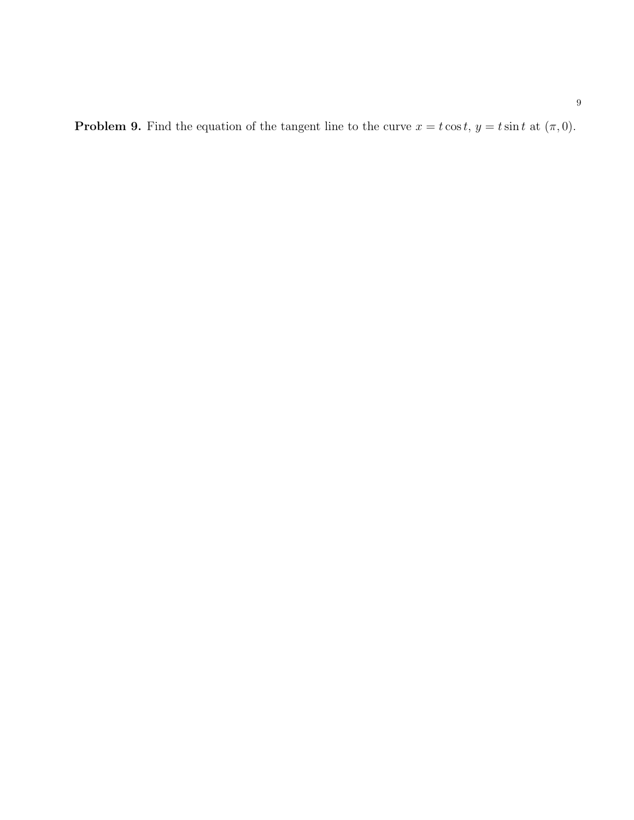**Problem 9.** Find the equation of the tangent line to the curve  $x = t \cos t$ ,  $y = t \sin t$  at  $(\pi, 0)$ .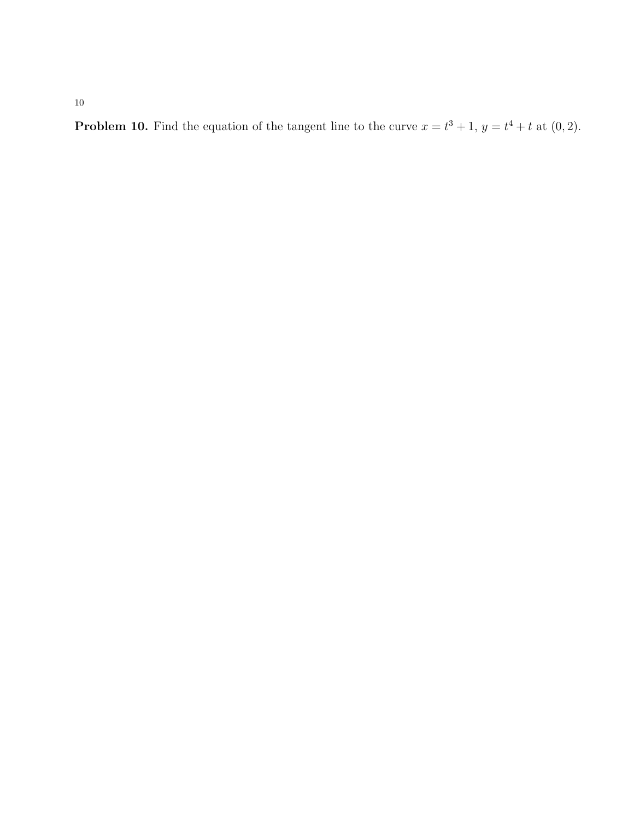10

**Problem 10.** Find the equation of the tangent line to the curve  $x = t^3 + 1$ ,  $y = t^4 + t$  at  $(0, 2)$ .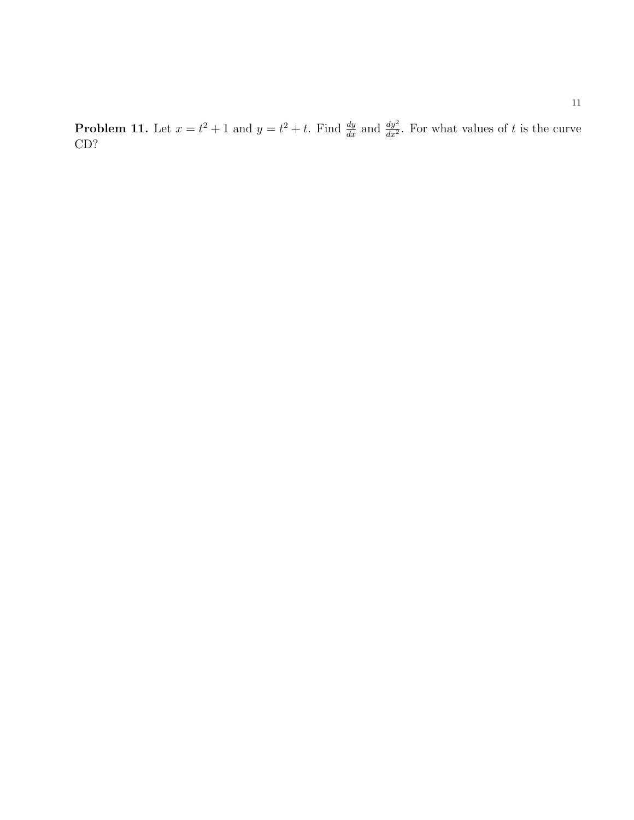**Problem 11.** Let  $x = t^2 + 1$  and  $y = t^2 + t$ . Find  $\frac{dy}{dx}$  and  $\frac{dy^2}{dx^2}$ . For what values of t is the curve CD?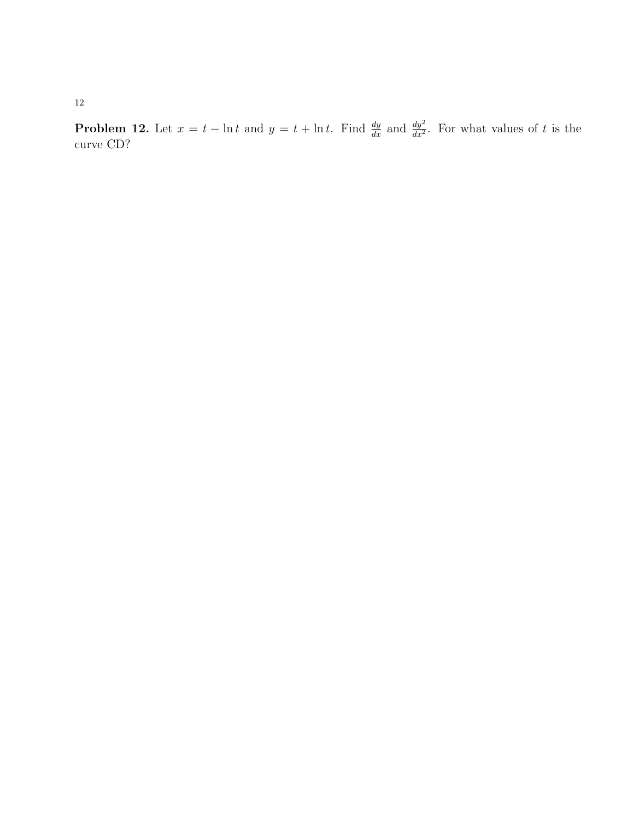12

**Problem 12.** Let  $x = t - \ln t$  and  $y = t + \ln t$ . Find  $\frac{dy}{dx}$  and  $\frac{dy^2}{dx^2}$ . For what values of t is the curve CD?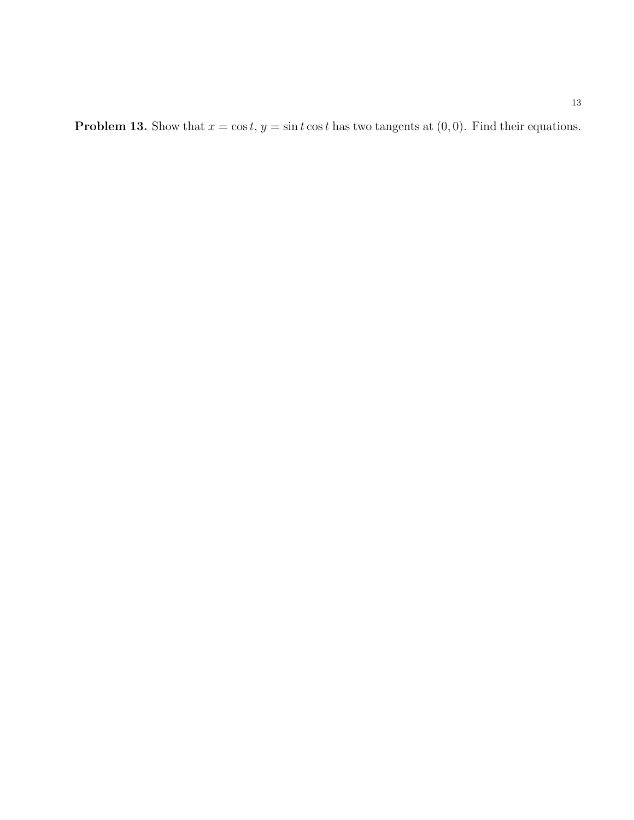**Problem 13.** Show that  $x = \cos t$ ,  $y = \sin t \cos t$  has two tangents at  $(0, 0)$ . Find their equations.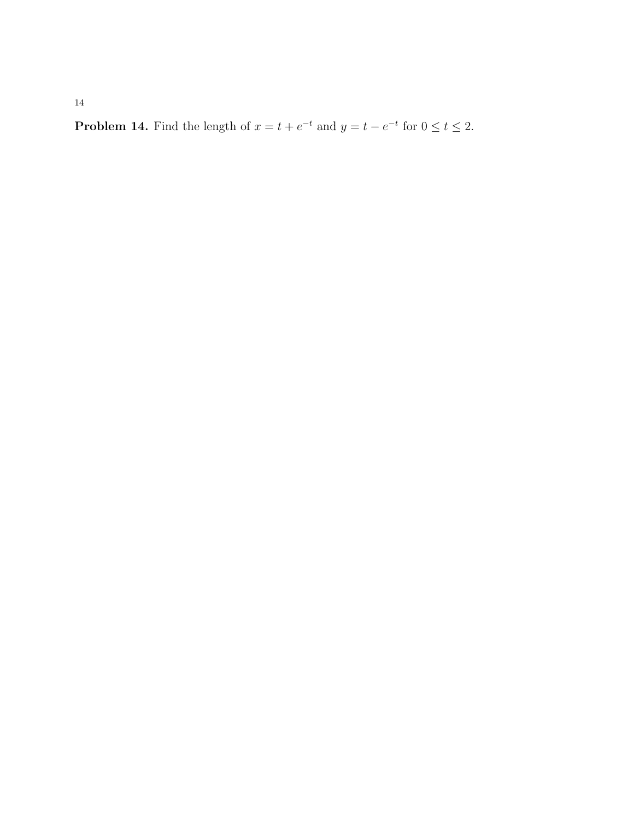**Problem 14.** Find the length of  $x = t + e^{-t}$  and  $y = t - e^{-t}$  for  $0 \le t \le 2$ .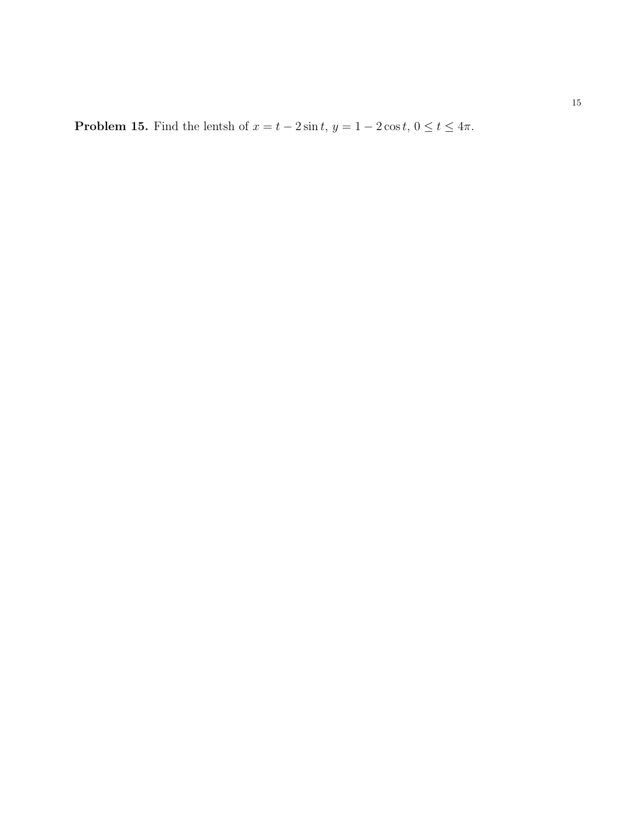**Problem 15.** Find the lentsh of  $x = t - 2\sin t$ ,  $y = 1 - 2\cos t$ ,  $0 \le t \le 4\pi$ .